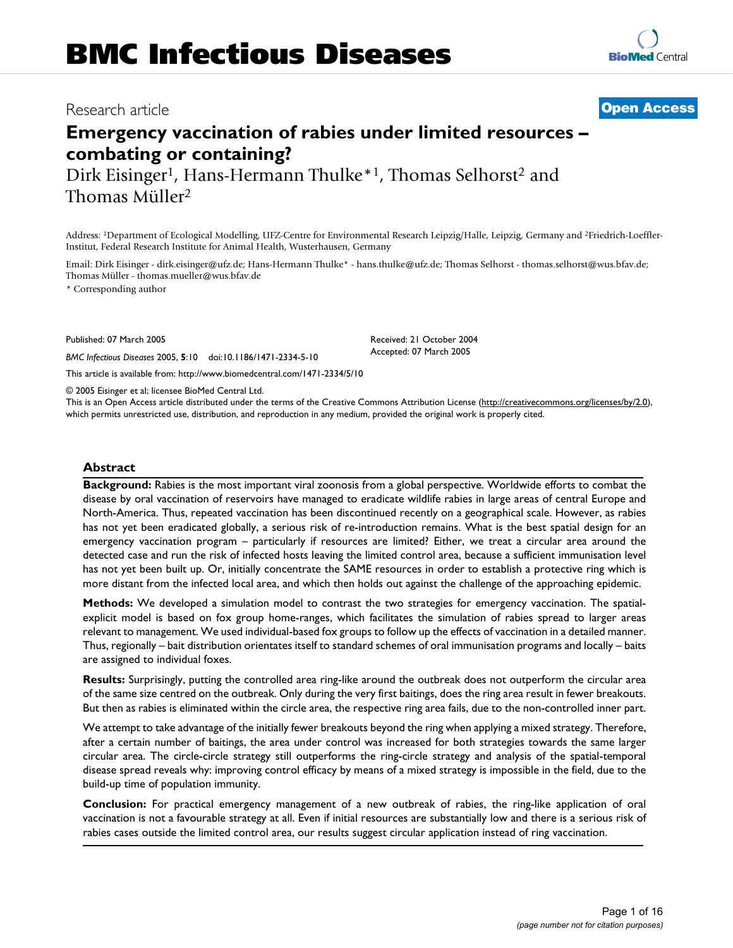## Research article **[Open Access](http://www.biomedcentral.com/info/about/charter/)**

# **Emergency vaccination of rabies under limited resources – combating or containing?**

Dirk Eisinger<sup>1</sup>, Hans-Hermann Thulke<sup>\*1</sup>, Thomas Selhorst<sup>2</sup> and Thomas Müller2

Address: 1Department of Ecological Modelling, UFZ-Centre for Environmental Research Leipzig/Halle, Leipzig, Germany and 2Friedrich-Loeffler-Institut, Federal Research Institute for Animal Health, Wusterhausen, Germany

Email: Dirk Eisinger - dirk.eisinger@ufz.de; Hans-Hermann Thulke\* - hans.thulke@ufz.de; Thomas Selhorst - thomas.selhorst@wus.bfav.de; Thomas Müller - thomas.mueller@wus.bfav.de

\* Corresponding author

Published: 07 March 2005

*BMC Infectious Diseases* 2005, **5**:10 doi:10.1186/1471-2334-5-10

[This article is available from: http://www.biomedcentral.com/1471-2334/5/10](http://www.biomedcentral.com/1471-2334/5/10)

© 2005 Eisinger et al; licensee BioMed Central Ltd.

This is an Open Access article distributed under the terms of the Creative Commons Attribution License [\(http://creativecommons.org/licenses/by/2.0\)](http://creativecommons.org/licenses/by/2.0), which permits unrestricted use, distribution, and reproduction in any medium, provided the original work is properly cited.

### **Abstract**

**Background:** Rabies is the most important viral zoonosis from a global perspective. Worldwide efforts to combat the disease by oral vaccination of reservoirs have managed to eradicate wildlife rabies in large areas of central Europe and North-America. Thus, repeated vaccination has been discontinued recently on a geographical scale. However, as rabies has not yet been eradicated globally, a serious risk of re-introduction remains. What is the best spatial design for an emergency vaccination program – particularly if resources are limited? Either, we treat a circular area around the detected case and run the risk of infected hosts leaving the limited control area, because a sufficient immunisation level has not yet been built up. Or, initially concentrate the SAME resources in order to establish a protective ring which is more distant from the infected local area, and which then holds out against the challenge of the approaching epidemic.

**Methods:** We developed a simulation model to contrast the two strategies for emergency vaccination. The spatialexplicit model is based on fox group home-ranges, which facilitates the simulation of rabies spread to larger areas relevant to management. We used individual-based fox groups to follow up the effects of vaccination in a detailed manner. Thus, regionally – bait distribution orientates itself to standard schemes of oral immunisation programs and locally – baits are assigned to individual foxes.

**Results:** Surprisingly, putting the controlled area ring-like around the outbreak does not outperform the circular area of the same size centred on the outbreak. Only during the very first baitings, does the ring area result in fewer breakouts. But then as rabies is eliminated within the circle area, the respective ring area fails, due to the non-controlled inner part.

We attempt to take advantage of the initially fewer breakouts beyond the ring when applying a mixed strategy. Therefore, after a certain number of baitings, the area under control was increased for both strategies towards the same larger circular area. The circle-circle strategy still outperforms the ring-circle strategy and analysis of the spatial-temporal disease spread reveals why: improving control efficacy by means of a mixed strategy is impossible in the field, due to the build-up time of population immunity.

**Conclusion:** For practical emergency management of a new outbreak of rabies, the ring-like application of oral vaccination is not a favourable strategy at all. Even if initial resources are substantially low and there is a serious risk of rabies cases outside the limited control area, our results suggest circular application instead of ring vaccination.

Received: 21 October 2004 Accepted: 07 March 2005

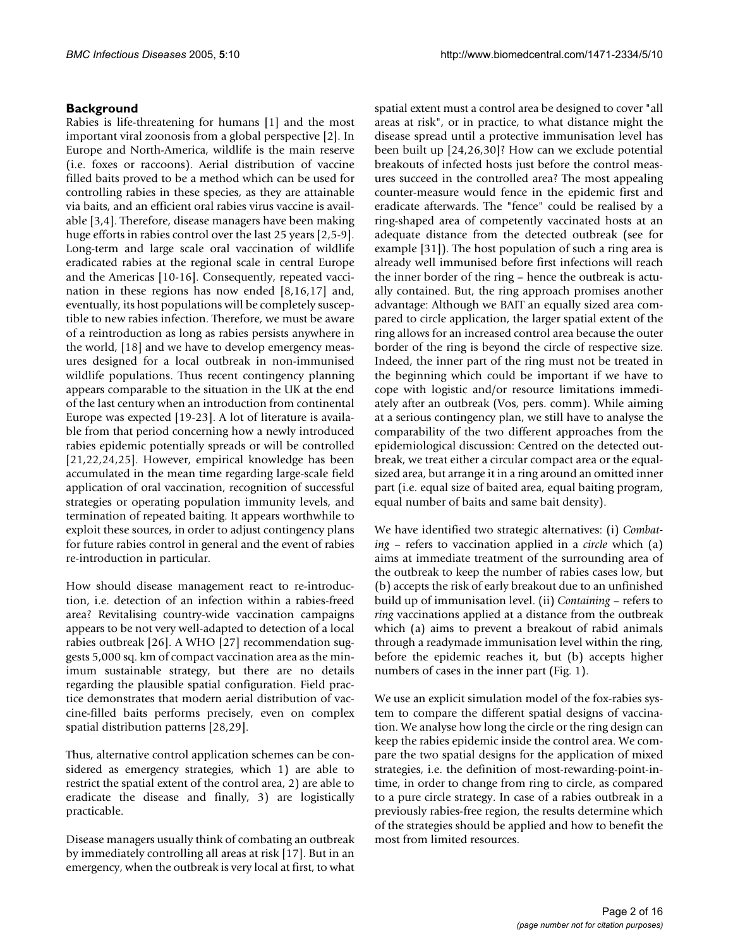## **Background**

Rabies is life-threatening for humans [1] and the most important viral zoonosis from a global perspective [2]. In Europe and North-America, wildlife is the main reserve (i.e. foxes or raccoons). Aerial distribution of vaccine filled baits proved to be a method which can be used for controlling rabies in these species, as they are attainable via baits, and an efficient oral rabies virus vaccine is available [3,4]. Therefore, disease managers have been making huge efforts in rabies control over the last 25 years [2,5-9]. Long-term and large scale oral vaccination of wildlife eradicated rabies at the regional scale in central Europe and the Americas [10-16]. Consequently, repeated vaccination in these regions has now ended [8,16,17] and, eventually, its host populations will be completely susceptible to new rabies infection. Therefore, we must be aware of a reintroduction as long as rabies persists anywhere in the world, [18] and we have to develop emergency measures designed for a local outbreak in non-immunised wildlife populations. Thus recent contingency planning appears comparable to the situation in the UK at the end of the last century when an introduction from continental Europe was expected [19-23]. A lot of literature is available from that period concerning how a newly introduced rabies epidemic potentially spreads or will be controlled [21,22,24,25]. However, empirical knowledge has been accumulated in the mean time regarding large-scale field application of oral vaccination, recognition of successful strategies or operating population immunity levels, and termination of repeated baiting. It appears worthwhile to exploit these sources, in order to adjust contingency plans for future rabies control in general and the event of rabies re-introduction in particular.

How should disease management react to re-introduction, i.e. detection of an infection within a rabies-freed area? Revitalising country-wide vaccination campaigns appears to be not very well-adapted to detection of a local rabies outbreak [26]. A WHO [27] recommendation suggests 5,000 sq. km of compact vaccination area as the minimum sustainable strategy, but there are no details regarding the plausible spatial configuration. Field practice demonstrates that modern aerial distribution of vaccine-filled baits performs precisely, even on complex spatial distribution patterns [28,29].

Thus, alternative control application schemes can be considered as emergency strategies, which 1) are able to restrict the spatial extent of the control area, 2) are able to eradicate the disease and finally, 3) are logistically practicable.

Disease managers usually think of combating an outbreak by immediately controlling all areas at risk [17]. But in an emergency, when the outbreak is very local at first, to what spatial extent must a control area be designed to cover "all areas at risk", or in practice, to what distance might the disease spread until a protective immunisation level has been built up [24,26,30]? How can we exclude potential breakouts of infected hosts just before the control measures succeed in the controlled area? The most appealing counter-measure would fence in the epidemic first and eradicate afterwards. The "fence" could be realised by a ring-shaped area of competently vaccinated hosts at an adequate distance from the detected outbreak (see for example [31]). The host population of such a ring area is already well immunised before first infections will reach the inner border of the ring – hence the outbreak is actually contained. But, the ring approach promises another advantage: Although we BAIT an equally sized area compared to circle application, the larger spatial extent of the ring allows for an increased control area because the outer border of the ring is beyond the circle of respective size. Indeed, the inner part of the ring must not be treated in the beginning which could be important if we have to cope with logistic and/or resource limitations immediately after an outbreak (Vos, pers. comm). While aiming at a serious contingency plan, we still have to analyse the comparability of the two different approaches from the epidemiological discussion: Centred on the detected outbreak, we treat either a circular compact area or the equalsized area, but arrange it in a ring around an omitted inner part (i.e. equal size of baited area, equal baiting program, equal number of baits and same bait density).

We have identified two strategic alternatives: (i) *Combating* – refers to vaccination applied in a *circle* which (a) aims at immediate treatment of the surrounding area of the outbreak to keep the number of rabies cases low, but (b) accepts the risk of early breakout due to an unfinished build up of immunisation level. (ii) *Containing* – refers to *ring* vaccinations applied at a distance from the outbreak which (a) aims to prevent a breakout of rabid animals through a readymade immunisation level within the ring, before the epidemic reaches it, but (b) accepts higher numbers of cases in the inner part (Fig. [1\)](#page-2-0).

We use an explicit simulation model of the fox-rabies system to compare the different spatial designs of vaccination. We analyse how long the circle or the ring design can keep the rabies epidemic inside the control area. We compare the two spatial designs for the application of mixed strategies, i.e. the definition of most-rewarding-point-intime, in order to change from ring to circle, as compared to a pure circle strategy. In case of a rabies outbreak in a previously rabies-free region, the results determine which of the strategies should be applied and how to benefit the most from limited resources.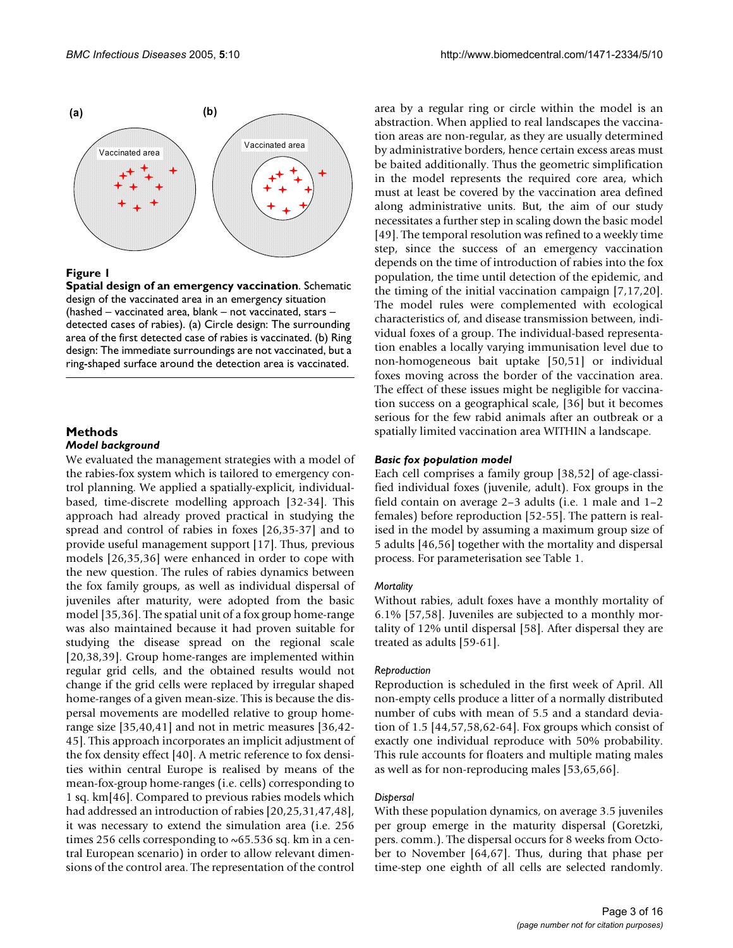<span id="page-2-0"></span>

**Spatial design of an emergency vaccination**. Schematic design of the vaccinated area in an emergency situation (hashed – vaccinated area, blank – not vaccinated, stars – detected cases of rabies). (a) Circle design: The surrounding area of the first detected case of rabies is vaccinated. (b) Ring design: The immediate surroundings are not vaccinated, but a ring-shaped surface around the detection area is vaccinated.

### **Methods** *Model background*

We evaluated the management strategies with a model of the rabies-fox system which is tailored to emergency control planning. We applied a spatially-explicit, individualbased, time-discrete modelling approach [32-34]. This approach had already proved practical in studying the spread and control of rabies in foxes [26,35-37] and to provide useful management support [17]. Thus, previous models [26,35,36] were enhanced in order to cope with the new question. The rules of rabies dynamics between the fox family groups, as well as individual dispersal of juveniles after maturity, were adopted from the basic model [35,36]. The spatial unit of a fox group home-range was also maintained because it had proven suitable for studying the disease spread on the regional scale [20,38,39]. Group home-ranges are implemented within regular grid cells, and the obtained results would not change if the grid cells were replaced by irregular shaped home-ranges of a given mean-size. This is because the dispersal movements are modelled relative to group homerange size [35,40,41] and not in metric measures [36,42- 45]. This approach incorporates an implicit adjustment of the fox density effect [40]. A metric reference to fox densities within central Europe is realised by means of the mean-fox-group home-ranges (i.e. cells) corresponding to 1 sq. km[46]. Compared to previous rabies models which had addressed an introduction of rabies [20,25,31,47,48], it was necessary to extend the simulation area (i.e. 256 times 256 cells corresponding to ~65.536 sq. km in a central European scenario) in order to allow relevant dimensions of the control area. The representation of the control

area by a regular ring or circle within the model is an abstraction. When applied to real landscapes the vaccination areas are non-regular, as they are usually determined by administrative borders, hence certain excess areas must be baited additionally. Thus the geometric simplification in the model represents the required core area, which must at least be covered by the vaccination area defined along administrative units. But, the aim of our study necessitates a further step in scaling down the basic model [49]. The temporal resolution was refined to a weekly time step, since the success of an emergency vaccination depends on the time of introduction of rabies into the fox population, the time until detection of the epidemic, and the timing of the initial vaccination campaign [7,17,20]. The model rules were complemented with ecological characteristics of, and disease transmission between, individual foxes of a group. The individual-based representation enables a locally varying immunisation level due to non-homogeneous bait uptake [50,51] or individual foxes moving across the border of the vaccination area. The effect of these issues might be negligible for vaccination success on a geographical scale, [36] but it becomes serious for the few rabid animals after an outbreak or a spatially limited vaccination area WITHIN a landscape.

## *Basic fox population model*

Each cell comprises a family group [38,52] of age-classified individual foxes (juvenile, adult). Fox groups in the field contain on average 2–3 adults (i.e. 1 male and 1–2 females) before reproduction [52-55]. The pattern is realised in the model by assuming a maximum group size of 5 adults [46,56] together with the mortality and dispersal process. For parameterisation see Table [1](#page-3-0).

#### *Mortality*

Without rabies, adult foxes have a monthly mortality of 6.1% [57,58]. Juveniles are subjected to a monthly mortality of 12% until dispersal [58]. After dispersal they are treated as adults [59-61].

## *Reproduction*

Reproduction is scheduled in the first week of April. All non-empty cells produce a litter of a normally distributed number of cubs with mean of 5.5 and a standard deviation of 1.5 [44,57,58,62-64]. Fox groups which consist of exactly one individual reproduce with 50% probability. This rule accounts for floaters and multiple mating males as well as for non-reproducing males [53,65,66].

## *Dispersal*

With these population dynamics, on average 3.5 juveniles per group emerge in the maturity dispersal (Goretzki, pers. comm.). The dispersal occurs for 8 weeks from October to November [64,67]. Thus, during that phase per time-step one eighth of all cells are selected randomly.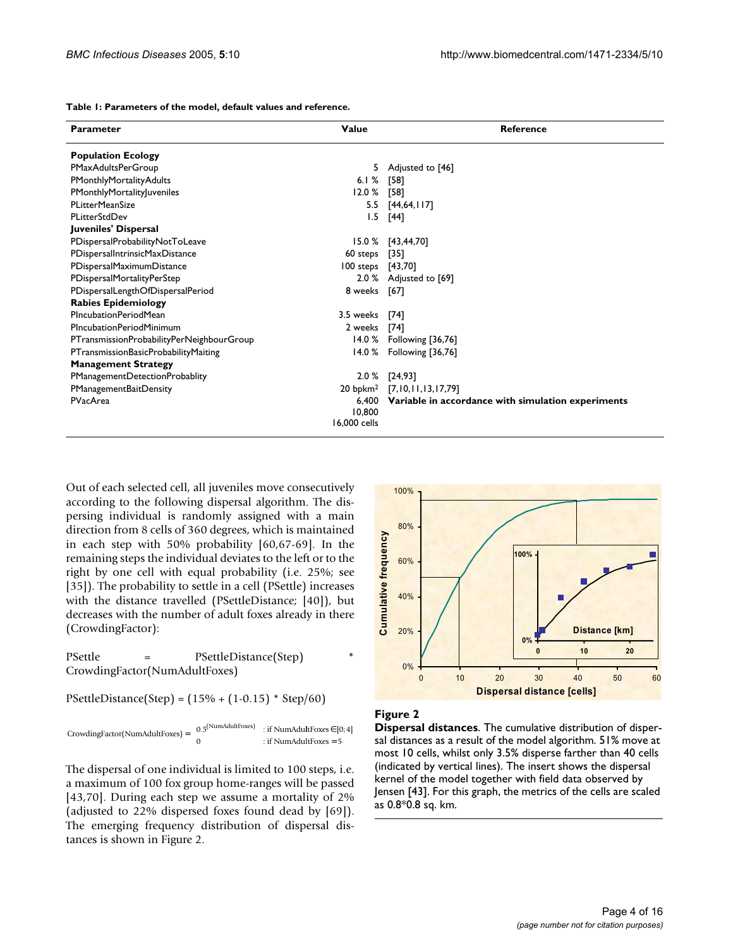<span id="page-3-0"></span>

| Table 1: Parameters of the model, default values and reference. |  |
|-----------------------------------------------------------------|--|
|-----------------------------------------------------------------|--|

| <b>Parameter</b>                          | Value             | <b>Reference</b>                                   |
|-------------------------------------------|-------------------|----------------------------------------------------|
| <b>Population Ecology</b>                 |                   |                                                    |
| <b>PMaxAdultsPerGroup</b>                 | 5.                | Adjusted to [46]                                   |
| <b>PMonthlyMortalityAdults</b>            | 6.I $%$           | [58]                                               |
| PMonthlyMortalityJuveniles                | 12.0%             | [58]                                               |
| <b>PLitterMeanSize</b>                    | 5.5               | [44,64,117]                                        |
| <b>PLitterStdDev</b>                      | 1.5               | [44]                                               |
| Juveniles' Dispersal                      |                   |                                                    |
| PDispersalProbabilityNotToLeave           | 15.0 %            | [43,44,70]                                         |
| PDispersalIntrinsicMaxDistance            | 60 steps          | [35]                                               |
| PDispersalMaximumDistance                 | 100 steps [43,70] |                                                    |
| PDispersalMortalityPerStep                |                   | 2.0 % Adjusted to [69]                             |
| PDispersalLengthOfDispersalPeriod         | 8 weeks           | [67]                                               |
| <b>Rabies Epidemiology</b>                |                   |                                                    |
| <b>PIncubationPeriodMean</b>              | 3.5 weeks         | - 1741                                             |
| PIncubationPeriodMinimum                  | 2 weeks           | [74]                                               |
| PTransmissionProbabilityPerNeighbourGroup |                   | 14.0 % Following [36,76]                           |
| PTransmissionBasicProbabilityMaiting      | 14.0 %            | Following [36,76]                                  |
| <b>Management Strategy</b>                |                   |                                                    |
| PManagementDetectionProbablity            | $2.0 \%$          | [24,93]                                            |
| PManagementBaitDensity                    |                   | 20 bpkm <sup>2</sup> [7,10,11,13,17,79]            |
| PVacArea                                  | 6.400             | Variable in accordance with simulation experiments |
|                                           | 10,800            |                                                    |
|                                           | 16,000 cells      |                                                    |
|                                           |                   |                                                    |

Out of each selected cell, all juveniles move consecutively according to the following dispersal algorithm. The dispersing individual is randomly assigned with a main direction from 8 cells of 360 degrees, which is maintained in each step with 50% probability [60,67-69]. In the remaining steps the individual deviates to the left or to the right by one cell with equal probability (i.e. 25%; see [35]). The probability to settle in a cell (PSettle) increases with the distance travelled (PSettleDistance; [40]), but decreases with the number of adult foxes already in there (CrowdingFactor):

PSettle = PSettleDistance(Step) \* CrowdingFactor(NumAdultFoxes)

PSettleDistance(Step) = (15% + (1-0.15) \* Step/60)

 $\text{CrowdingFactor}(\text{NumAdulFoxes}) = \begin{cases} 0.5^{\text{(NumAdulFoxes)}} & \text{if NumAdulFoxes} \\ 0 & \text{if NumAdulFoxes} \end{cases}$ ∈ = ļ l  $[0;4]$ :  $0;4$ 0 : if NumAdultFoxes = 5

The dispersal of one individual is limited to 100 steps, i.e. a maximum of 100 fox group home-ranges will be passed [43,70]. During each step we assume a mortality of 2% (adjusted to 22% dispersed foxes found dead by [69]). The emerging frequency distribution of dispersal distances is shown in Figure 2.



## **Figure 2**

**Dispersal distances**. The cumulative distribution of dispersal distances as a result of the model algorithm. 51% move at most 10 cells, whilst only 3.5% disperse farther than 40 cells (indicated by vertical lines). The insert shows the dispersal kernel of the model together with field data observed by Jensen [43]. For this graph, the metrics of the cells are scaled as 0.8\*0.8 sq. km.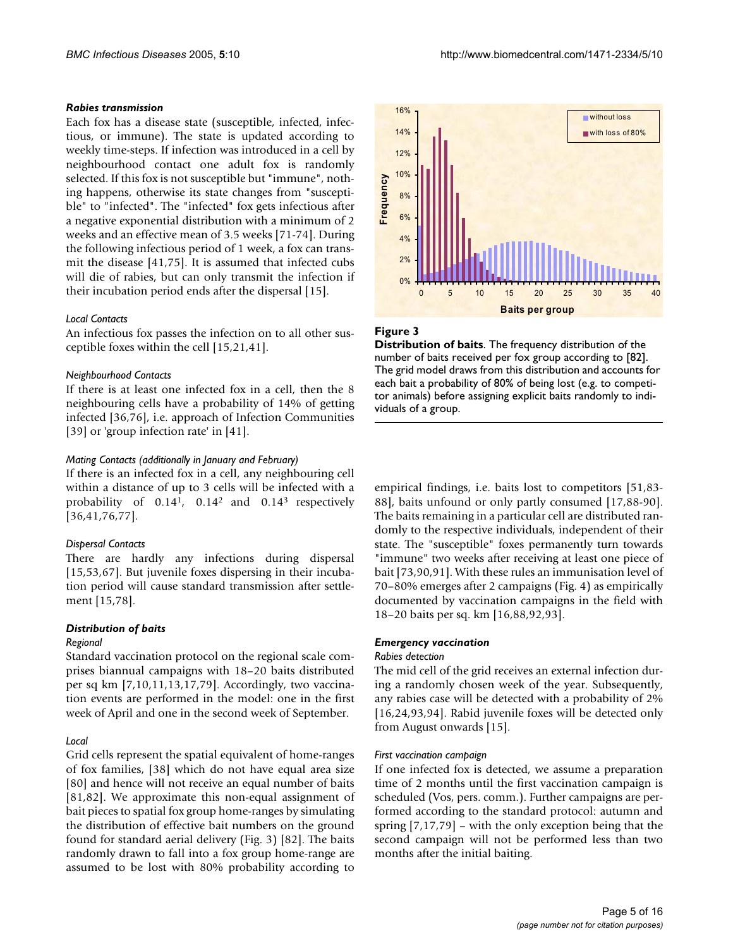#### *Rabies transmission*

Each fox has a disease state (susceptible, infected, infectious, or immune). The state is updated according to weekly time-steps. If infection was introduced in a cell by neighbourhood contact one adult fox is randomly selected. If this fox is not susceptible but "immune", nothing happens, otherwise its state changes from "susceptible" to "infected". The "infected" fox gets infectious after a negative exponential distribution with a minimum of 2 weeks and an effective mean of 3.5 weeks [71-74]. During the following infectious period of 1 week, a fox can transmit the disease [41,75]. It is assumed that infected cubs will die of rabies, but can only transmit the infection if their incubation period ends after the dispersal [15].

## *Local Contacts*

An infectious fox passes the infection on to all other susceptible foxes within the cell [15,21,41].

#### *Neighbourhood Contacts*

If there is at least one infected fox in a cell, then the 8 neighbouring cells have a probability of 14% of getting infected [36,76], i.e. approach of Infection Communities [39] or 'group infection rate' in [41].

## *Mating Contacts (additionally in January and February)*

If there is an infected fox in a cell, any neighbouring cell within a distance of up to 3 cells will be infected with a probability of 0.141, 0.142 and 0.143 respectively [36,41,76,77].

## *Dispersal Contacts*

There are hardly any infections during dispersal [15,53,67]. But juvenile foxes dispersing in their incubation period will cause standard transmission after settlement [15,78].

## *Distribution of baits*

#### *Regional*

Standard vaccination protocol on the regional scale comprises biannual campaigns with 18–20 baits distributed per sq km [7,10,11,13,17,79]. Accordingly, two vaccination events are performed in the model: one in the first week of April and one in the second week of September.

#### *Local*

Grid cells represent the spatial equivalent of home-ranges of fox families, [38] which do not have equal area size [80] and hence will not receive an equal number of baits [81,82]. We approximate this non-equal assignment of bait pieces to spatial fox group home-ranges by simulating the distribution of effective bait numbers on the ground found for standard aerial delivery (Fig. 3) [82]. The baits randomly drawn to fall into a fox group home-range are assumed to be lost with 80% probability according to



#### **Figure 3**

**Distribution of baits**. The frequency distribution of the number of baits received per fox group according to [82]. The grid model draws from this distribution and accounts for each bait a probability of 80% of being lost (e.g. to competitor animals) before assigning explicit baits randomly to individuals of a group.

empirical findings, i.e. baits lost to competitors [51,83- 88], baits unfound or only partly consumed [17,88-90]. The baits remaining in a particular cell are distributed randomly to the respective individuals, independent of their state. The "susceptible" foxes permanently turn towards "immune" two weeks after receiving at least one piece of bait [73,90,91]. With these rules an immunisation level of 70–80% emerges after 2 campaigns (Fig. [4\)](#page-5-0) as empirically documented by vaccination campaigns in the field with 18–20 baits per sq. km [16,88,92,93].

#### *Emergency vaccination*

#### *Rabies detection*

The mid cell of the grid receives an external infection during a randomly chosen week of the year. Subsequently, any rabies case will be detected with a probability of 2% [16,24,93,94]. Rabid juvenile foxes will be detected only from August onwards [15].

#### *First vaccination campaign*

If one infected fox is detected, we assume a preparation time of 2 months until the first vaccination campaign is scheduled (Vos, pers. comm.). Further campaigns are performed according to the standard protocol: autumn and spring [7,17,79] – with the only exception being that the second campaign will not be performed less than two months after the initial baiting.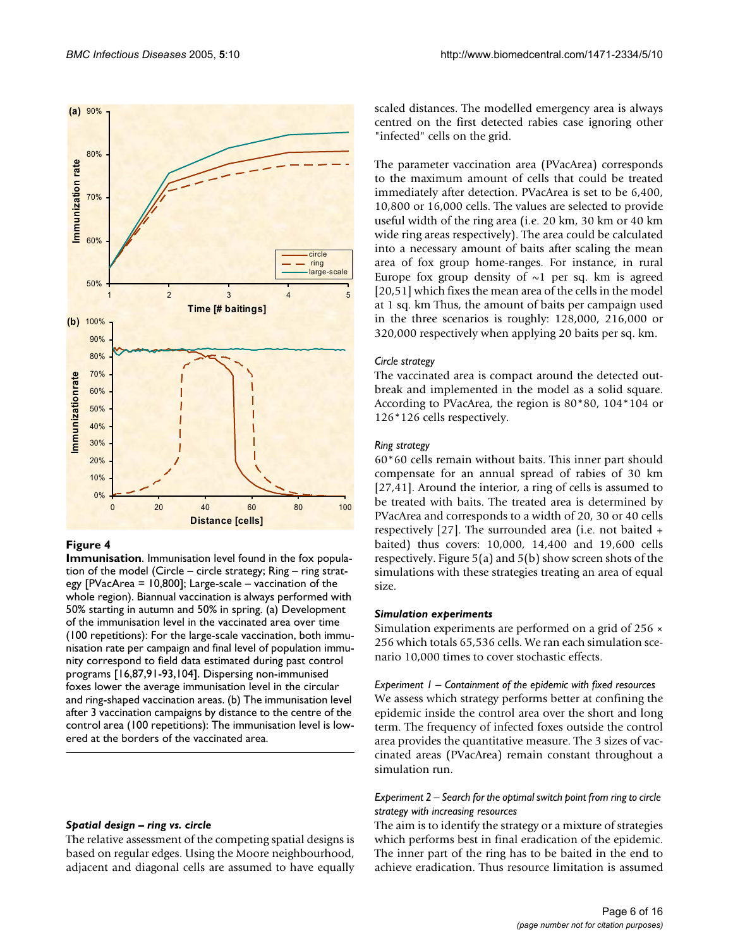<span id="page-5-0"></span>

**Immunisation**. Immunisation level found in the fox population of the model (Circle – circle strategy; Ring – ring strategy [PVacArea = 10,800]; Large-scale – vaccination of the whole region). Biannual vaccination is always performed with 50% starting in autumn and 50% in spring. (a) Development of the immunisation level in the vaccinated area over time (100 repetitions): For the large-scale vaccination, both immunisation rate per campaign and final level of population immunity correspond to field data estimated during past control programs [16,87,91-93,104]. Dispersing non-immunised foxes lower the average immunisation level in the circular and ring-shaped vaccination areas. (b) The immunisation level after 3 vaccination campaigns by distance to the centre of the control area (100 repetitions): The immunisation level is lowered at the borders of the vaccinated area.

#### *Spatial design – ring vs. circle*

The relative assessment of the competing spatial designs is based on regular edges. Using the Moore neighbourhood, adjacent and diagonal cells are assumed to have equally scaled distances. The modelled emergency area is always centred on the first detected rabies case ignoring other "infected" cells on the grid.

The parameter vaccination area (PVacArea) corresponds to the maximum amount of cells that could be treated immediately after detection. PVacArea is set to be 6,400, 10,800 or 16,000 cells. The values are selected to provide useful width of the ring area (i.e. 20 km, 30 km or 40 km wide ring areas respectively). The area could be calculated into a necessary amount of baits after scaling the mean area of fox group home-ranges. For instance, in rural Europe fox group density of  $\sim$ 1 per sq. km is agreed [20,51] which fixes the mean area of the cells in the model at 1 sq. km Thus, the amount of baits per campaign used in the three scenarios is roughly: 128,000, 216,000 or 320,000 respectively when applying 20 baits per sq. km.

#### *Circle strategy*

The vaccinated area is compact around the detected outbreak and implemented in the model as a solid square. According to PVacArea, the region is 80\*80, 104\*104 or 126\*126 cells respectively.

#### *Ring strategy*

60\*60 cells remain without baits. This inner part should compensate for an annual spread of rabies of 30 km [27,41]. Around the interior, a ring of cells is assumed to be treated with baits. The treated area is determined by PVacArea and corresponds to a width of 20, 30 or 40 cells respectively [27]. The surrounded area (i.e. not baited + baited) thus covers: 10,000, 14,400 and 19,600 cells respectively. Figure 5(a) and 5(b) show screen shots of the simulations with these strategies treating an area of equal size.

#### *Simulation experiments*

Simulation experiments are performed on a grid of 256 × 256 which totals 65,536 cells. We ran each simulation scenario 10,000 times to cover stochastic effects.

*Experiment 1 – Containment of the epidemic with fixed resources* We assess which strategy performs better at confining the epidemic inside the control area over the short and long term. The frequency of infected foxes outside the control area provides the quantitative measure. The 3 sizes of vaccinated areas (PVacArea) remain constant throughout a simulation run.

#### *Experiment 2 – Search for the optimal switch point from ring to circle strategy with increasing resources*

The aim is to identify the strategy or a mixture of strategies which performs best in final eradication of the epidemic. The inner part of the ring has to be baited in the end to achieve eradication. Thus resource limitation is assumed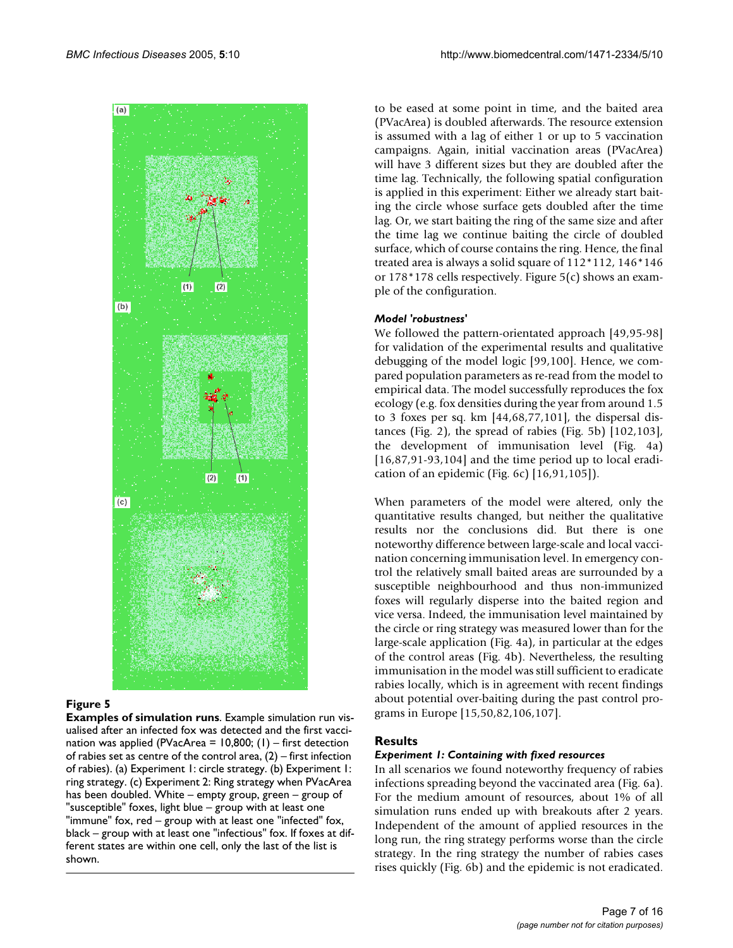

**Examples of simulation runs**. Example simulation run visualised after an infected fox was detected and the first vaccination was applied (PVacArea =  $10,800$ ; (1) – first detection of rabies set as centre of the control area, (2) – first infection of rabies). (a) Experiment 1: circle strategy. (b) Experiment 1: ring strategy. (c) Experiment 2: Ring strategy when PVacArea has been doubled. White – empty group, green – group of "susceptible" foxes, light blue – group with at least one "immune" fox, red – group with at least one "infected" fox, black – group with at least one "infectious" fox. If foxes at different states are within one cell, only the last of the list is shown.

to be eased at some point in time, and the baited area (PVacArea) is doubled afterwards. The resource extension is assumed with a lag of either 1 or up to 5 vaccination campaigns. Again, initial vaccination areas (PVacArea) will have 3 different sizes but they are doubled after the time lag. Technically, the following spatial configuration is applied in this experiment: Either we already start baiting the circle whose surface gets doubled after the time lag. Or, we start baiting the ring of the same size and after the time lag we continue baiting the circle of doubled surface, which of course contains the ring. Hence, the final treated area is always a solid square of 112\*112, 146\*146 or 178\*178 cells respectively. Figure 5(c) shows an example of the configuration.

## *Model 'robustness'*

We followed the pattern-orientated approach [49,95-98] for validation of the experimental results and qualitative debugging of the model logic [99,100]. Hence, we compared population parameters as re-read from the model to empirical data. The model successfully reproduces the fox ecology (e.g. fox densities during the year from around 1.5 to 3 foxes per sq. km [44,68,77,101], the dispersal distances (Fig. 2), the spread of rabies (Fig. 5b) [102,103], the development of immunisation level (Fig. [4](#page-5-0)a) [16,87,91-93,104] and the time period up to local eradication of an epidemic (Fig. 6c) [16,91,105]).

When parameters of the model were altered, only the quantitative results changed, but neither the qualitative results nor the conclusions did. But there is one noteworthy difference between large-scale and local vaccination concerning immunisation level. In emergency control the relatively small baited areas are surrounded by a susceptible neighbourhood and thus non-immunized foxes will regularly disperse into the baited region and vice versa. Indeed, the immunisation level maintained by the circle or ring strategy was measured lower than for the large-scale application (Fig. [4](#page-5-0)a), in particular at the edges of the control areas (Fig. [4b](#page-5-0)). Nevertheless, the resulting immunisation in the model was still sufficient to eradicate rabies locally, which is in agreement with recent findings about potential over-baiting during the past control programs in Europe [15,50,82,106,107].

## **Results**

## *Experiment 1: Containing with fixed resources*

In all scenarios we found noteworthy frequency of rabies infections spreading beyond the vaccinated area (Fig. 6a). For the medium amount of resources, about 1% of all simulation runs ended up with breakouts after 2 years. Independent of the amount of applied resources in the long run, the ring strategy performs worse than the circle strategy. In the ring strategy the number of rabies cases rises quickly (Fig. 6b) and the epidemic is not eradicated.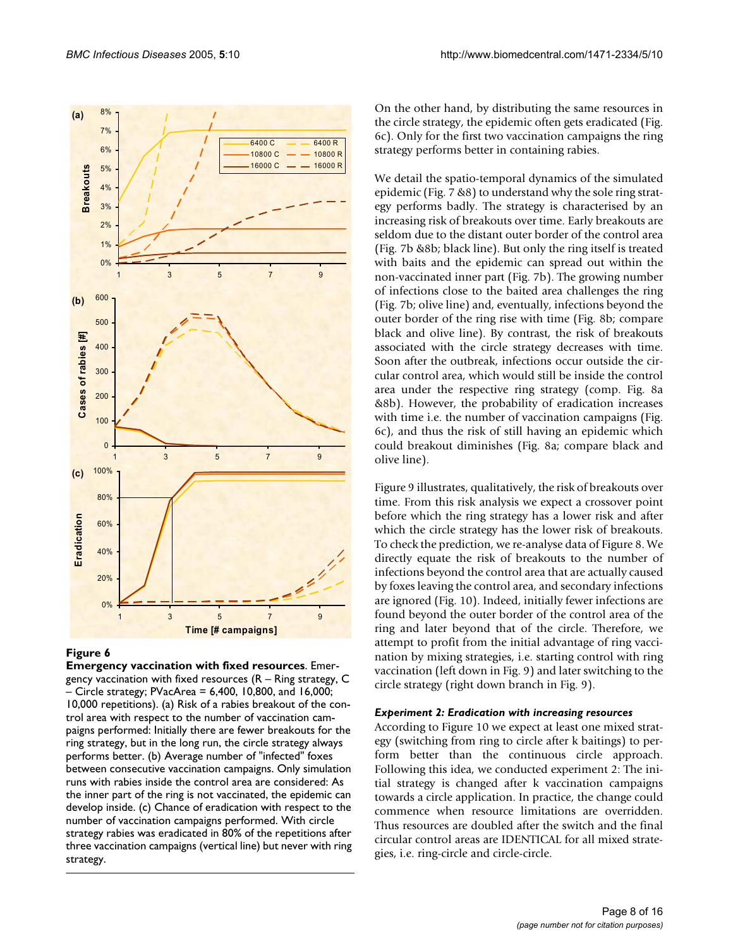

**Emergency vaccination with fixed resources**. Emergency vaccination with fixed resources  $(R - Ring strategy, C)$ – Circle strategy; PVacArea = 6,400, 10,800, and 16,000; 10,000 repetitions). (a) Risk of a rabies breakout of the control area with respect to the number of vaccination campaigns performed: Initially there are fewer breakouts for the ring strategy, but in the long run, the circle strategy always performs better. (b) Average number of "infected" foxes between consecutive vaccination campaigns. Only simulation runs with rabies inside the control area are considered: As the inner part of the ring is not vaccinated, the epidemic can develop inside. (c) Chance of eradication with respect to the number of vaccination campaigns performed. With circle strategy rabies was eradicated in 80% of the repetitions after three vaccination campaigns (vertical line) but never with ring strategy.

On the other hand, by distributing the same resources in the circle strategy, the epidemic often gets eradicated (Fig. 6c). Only for the first two vaccination campaigns the ring strategy performs better in containing rabies.

We detail the spatio-temporal dynamics of the simulated epidemic (Fig. [7](#page-8-0) &[8](#page-9-0)) to understand why the sole ring strategy performs badly. The strategy is characterised by an increasing risk of breakouts over time. Early breakouts are seldom due to the distant outer border of the control area (Fig. [7b](#page-8-0) &[8](#page-9-0)b; black line). But only the ring itself is treated with baits and the epidemic can spread out within the non-vaccinated inner part (Fig. [7](#page-8-0)b). The growing number of infections close to the baited area challenges the ring (Fig. [7b](#page-8-0); olive line) and, eventually, infections beyond the outer border of the ring rise with time (Fig. [8](#page-9-0)b; compare black and olive line). By contrast, the risk of breakouts associated with the circle strategy decreases with time. Soon after the outbreak, infections occur outside the circular control area, which would still be inside the control area under the respective ring strategy (comp. Fig. [8](#page-9-0)a &[8](#page-9-0)b). However, the probability of eradication increases with time i.e. the number of vaccination campaigns (Fig. 6c), and thus the risk of still having an epidemic which could breakout diminishes (Fig. [8](#page-9-0)a; compare black and olive line).

Figure [9](#page-10-0) illustrates, qualitatively, the risk of breakouts over time. From this risk analysis we expect a crossover point before which the ring strategy has a lower risk and after which the circle strategy has the lower risk of breakouts. To check the prediction, we re-analyse data of Figure [8](#page-9-0). We directly equate the risk of breakouts to the number of infections beyond the control area that are actually caused by foxes leaving the control area, and secondary infections are ignored (Fig. [10\)](#page-10-1). Indeed, initially fewer infections are found beyond the outer border of the control area of the ring and later beyond that of the circle. Therefore, we attempt to profit from the initial advantage of ring vaccination by mixing strategies, i.e. starting control with ring vaccination (left down in Fig. [9\)](#page-10-0) and later switching to the circle strategy (right down branch in Fig. [9\)](#page-10-0).

## *Experiment 2: Eradication with increasing resources*

According to Figure [10](#page-10-1) we expect at least one mixed strategy (switching from ring to circle after k baitings) to perform better than the continuous circle approach. Following this idea, we conducted experiment 2: The initial strategy is changed after k vaccination campaigns towards a circle application. In practice, the change could commence when resource limitations are overridden. Thus resources are doubled after the switch and the final circular control areas are IDENTICAL for all mixed strategies, i.e. ring-circle and circle-circle.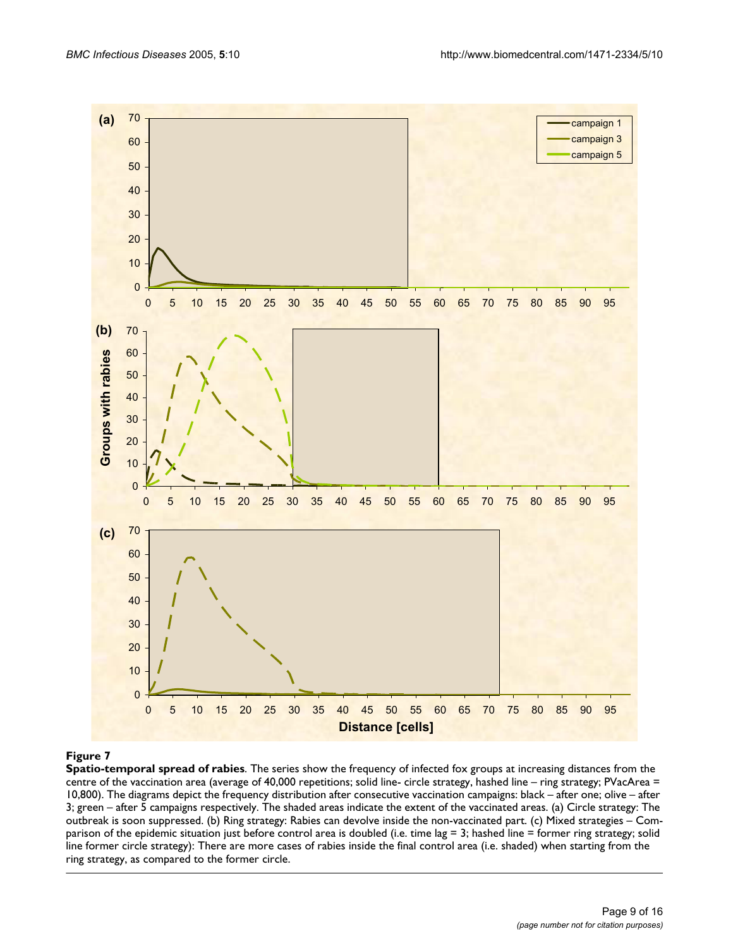<span id="page-8-0"></span>

**Spatio-temporal spread of rabies**. The series show the frequency of infected fox groups at increasing distances from the centre of the vaccination area (average of 40,000 repetitions; solid line- circle strategy, hashed line – ring strategy; PVacArea = 10,800). The diagrams depict the frequency distribution after consecutive vaccination campaigns: black – after one; olive – after 3; green – after 5 campaigns respectively. The shaded areas indicate the extent of the vaccinated areas. (a) Circle strategy: The outbreak is soon suppressed. (b) Ring strategy: Rabies can devolve inside the non-vaccinated part. (c) Mixed strategies – Comparison of the epidemic situation just before control area is doubled (i.e. time lag = 3; hashed line = former ring strategy; solid line former circle strategy): There are more cases of rabies inside the final control area (i.e. shaded) when starting from the ring strategy, as compared to the former circle.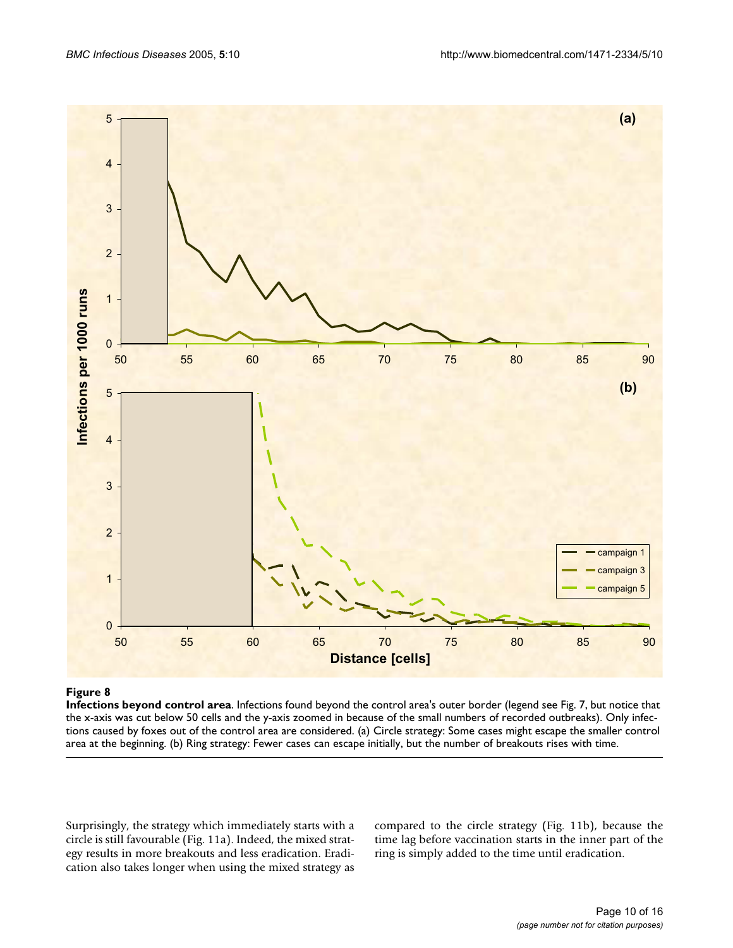<span id="page-9-0"></span>

**Infections beyond control area**. Infections found beyond the control area's outer border (legend see Fig. 7, but notice that the x-axis was cut below 50 cells and the y-axis zoomed in because of the small numbers of recorded outbreaks). Only infections caused by foxes out of the control area are considered. (a) Circle strategy: Some cases might escape the smaller control area at the beginning. (b) Ring strategy: Fewer cases can escape initially, but the number of breakouts rises with time.

Surprisingly, the strategy which immediately starts with a circle is still favourable (Fig. 11a). Indeed, the mixed strategy results in more breakouts and less eradication. Eradication also takes longer when using the mixed strategy as compared to the circle strategy (Fig. 11b), because the time lag before vaccination starts in the inner part of the ring is simply added to the time until eradication.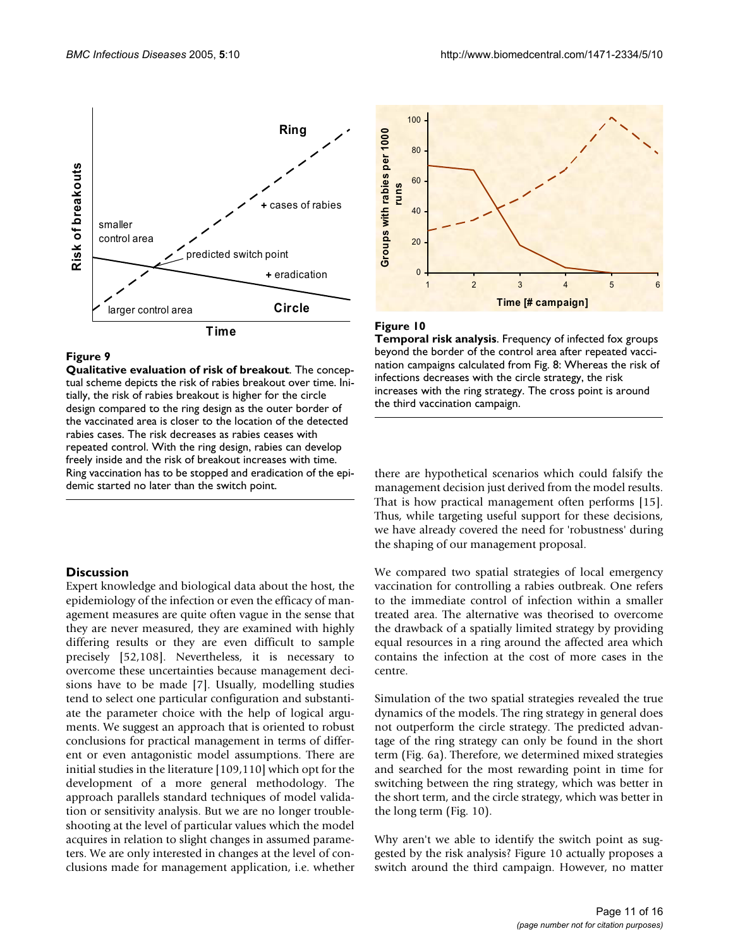<span id="page-10-0"></span>

**Qualitative evaluation of risk of breakout**. The conceptual scheme depicts the risk of rabies breakout over time. Initially, the risk of rabies breakout is higher for the circle design compared to the ring design as the outer border of the vaccinated area is closer to the location of the detected rabies cases. The risk decreases as rabies ceases with repeated control. With the ring design, rabies can develop freely inside and the risk of breakout increases with time. Ring vaccination has to be stopped and eradication of the epidemic started no later than the switch point.

## **Discussion**

Expert knowledge and biological data about the host, the epidemiology of the infection or even the efficacy of management measures are quite often vague in the sense that they are never measured, they are examined with highly differing results or they are even difficult to sample precisely [52,108]. Nevertheless, it is necessary to overcome these uncertainties because management decisions have to be made [7]. Usually, modelling studies tend to select one particular configuration and substantiate the parameter choice with the help of logical arguments. We suggest an approach that is oriented to robust conclusions for practical management in terms of different or even antagonistic model assumptions. There are initial studies in the literature [109,110] which opt for the development of a more general methodology. The approach parallels standard techniques of model validation or sensitivity analysis. But we are no longer troubleshooting at the level of particular values which the model acquires in relation to slight changes in assumed parameters. We are only interested in changes at the level of conclusions made for management application, i.e. whether

<span id="page-10-1"></span>

## **Figure 10**

**Temporal risk analysis**. Frequency of infected fox groups beyond the border of the control area after repeated vaccination campaigns calculated from Fig. 8: Whereas the risk of infections decreases with the circle strategy, the risk increases with the ring strategy. The cross point is around the third vaccination campaign.

there are hypothetical scenarios which could falsify the management decision just derived from the model results. That is how practical management often performs [15]. Thus, while targeting useful support for these decisions, we have already covered the need for 'robustness' during the shaping of our management proposal.

We compared two spatial strategies of local emergency vaccination for controlling a rabies outbreak. One refers to the immediate control of infection within a smaller treated area. The alternative was theorised to overcome the drawback of a spatially limited strategy by providing equal resources in a ring around the affected area which contains the infection at the cost of more cases in the centre.

Simulation of the two spatial strategies revealed the true dynamics of the models. The ring strategy in general does not outperform the circle strategy. The predicted advantage of the ring strategy can only be found in the short term (Fig. 6a). Therefore, we determined mixed strategies and searched for the most rewarding point in time for switching between the ring strategy, which was better in the short term, and the circle strategy, which was better in the long term (Fig. [10\)](#page-10-1).

Why aren't we able to identify the switch point as suggested by the risk analysis? Figure [10](#page-10-1) actually proposes a switch around the third campaign. However, no matter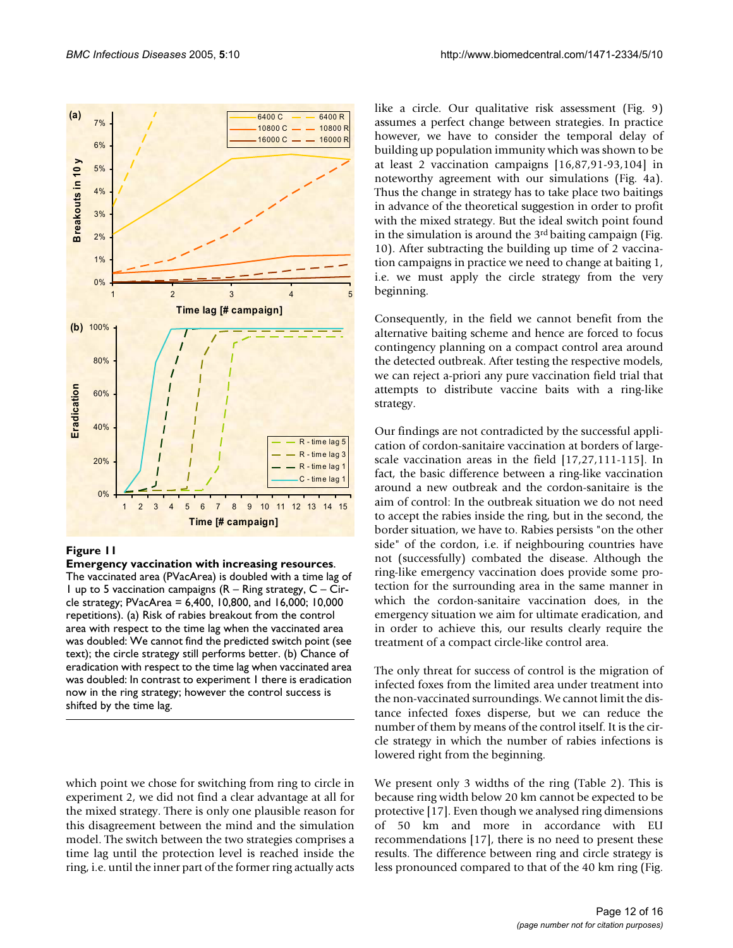

#### **Emergency vaccination with increasing resources**.

The vaccinated area (PVacArea) is doubled with a time lag of 1 up to 5 vaccination campaigns  $(R - Ring strategy, C - Cir$ cle strategy; PVacArea = 6,400, 10,800, and 16,000; 10,000 repetitions). (a) Risk of rabies breakout from the control area with respect to the time lag when the vaccinated area was doubled: We cannot find the predicted switch point (see text); the circle strategy still performs better. (b) Chance of eradication with respect to the time lag when vaccinated area was doubled: In contrast to experiment 1 there is eradication now in the ring strategy; however the control success is shifted by the time lag.

which point we chose for switching from ring to circle in experiment 2, we did not find a clear advantage at all for the mixed strategy. There is only one plausible reason for this disagreement between the mind and the simulation model. The switch between the two strategies comprises a time lag until the protection level is reached inside the ring, i.e. until the inner part of the former ring actually acts like a circle. Our qualitative risk assessment (Fig. [9](#page-10-0)) assumes a perfect change between strategies. In practice however, we have to consider the temporal delay of building up population immunity which was shown to be at least 2 vaccination campaigns [16,87,91-93,104] in noteworthy agreement with our simulations (Fig. [4a](#page-5-0)). Thus the change in strategy has to take place two baitings in advance of the theoretical suggestion in order to profit with the mixed strategy. But the ideal switch point found in the simulation is around the 3rd baiting campaign (Fig. [10\)](#page-10-1). After subtracting the building up time of 2 vaccination campaigns in practice we need to change at baiting 1, i.e. we must apply the circle strategy from the very beginning.

Consequently, in the field we cannot benefit from the alternative baiting scheme and hence are forced to focus contingency planning on a compact control area around the detected outbreak. After testing the respective models, we can reject a-priori any pure vaccination field trial that attempts to distribute vaccine baits with a ring-like strategy.

Our findings are not contradicted by the successful application of cordon-sanitaire vaccination at borders of largescale vaccination areas in the field [17,27,111-115]. In fact, the basic difference between a ring-like vaccination around a new outbreak and the cordon-sanitaire is the aim of control: In the outbreak situation we do not need to accept the rabies inside the ring, but in the second, the border situation, we have to. Rabies persists "on the other side" of the cordon, i.e. if neighbouring countries have not (successfully) combated the disease. Although the ring-like emergency vaccination does provide some protection for the surrounding area in the same manner in which the cordon-sanitaire vaccination does, in the emergency situation we aim for ultimate eradication, and in order to achieve this, our results clearly require the treatment of a compact circle-like control area.

The only threat for success of control is the migration of infected foxes from the limited area under treatment into the non-vaccinated surroundings. We cannot limit the distance infected foxes disperse, but we can reduce the number of them by means of the control itself. It is the circle strategy in which the number of rabies infections is lowered right from the beginning.

We present only 3 widths of the ring (Table [2\)](#page-12-0). This is because ring width below 20 km cannot be expected to be protective [17]. Even though we analysed ring dimensions of 50 km and more in accordance with EU recommendations [17], there is no need to present these results. The difference between ring and circle strategy is less pronounced compared to that of the 40 km ring (Fig.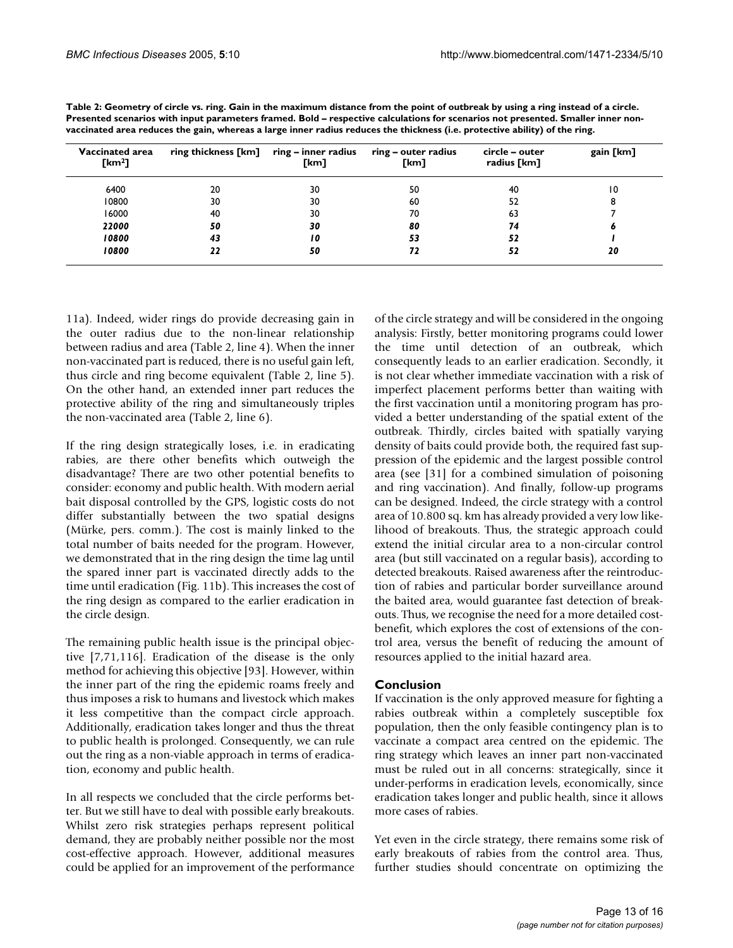| Vaccinated area<br>Km <sup>2</sup> | ring thickness [km] | ring – inner radius<br>[km] | ring – outer radius<br>[km] | circle – outer<br>radius [km] | gain [km] |
|------------------------------------|---------------------|-----------------------------|-----------------------------|-------------------------------|-----------|
| 6400                               | 20                  | 30                          | 50                          | 40                            | 10        |
| 10800                              | 30                  | 30                          | 60                          | 52                            | 8         |
| 16000                              | 40                  | 30                          | 70                          | 63                            |           |
| 22000                              | 50                  | 30                          | 80                          | 74                            |           |
| 10800                              | 43                  | 10                          | 53                          | 52                            |           |
| 10800                              | 22                  | 50                          | 72                          | 52                            | 20        |

<span id="page-12-0"></span>**Table 2: Geometry of circle vs. ring. Gain in the maximum distance from the point of outbreak by using a ring instead of a circle. Presented scenarios with input parameters framed. Bold – respective calculations for scenarios not presented. Smaller inner nonvaccinated area reduces the gain, whereas a large inner radius reduces the thickness (i.e. protective ability) of the ring.**

11a). Indeed, wider rings do provide decreasing gain in the outer radius due to the non-linear relationship between radius and area (Table [2](#page-12-0), line 4). When the inner non-vaccinated part is reduced, there is no useful gain left, thus circle and ring become equivalent (Table [2](#page-12-0), line 5). On the other hand, an extended inner part reduces the protective ability of the ring and simultaneously triples the non-vaccinated area (Table [2](#page-12-0), line 6).

If the ring design strategically loses, i.e. in eradicating rabies, are there other benefits which outweigh the disadvantage? There are two other potential benefits to consider: economy and public health. With modern aerial bait disposal controlled by the GPS, logistic costs do not differ substantially between the two spatial designs (Mürke, pers. comm.). The cost is mainly linked to the total number of baits needed for the program. However, we demonstrated that in the ring design the time lag until the spared inner part is vaccinated directly adds to the time until eradication (Fig. 11b). This increases the cost of the ring design as compared to the earlier eradication in the circle design.

The remaining public health issue is the principal objective [7,71,116]. Eradication of the disease is the only method for achieving this objective [93]. However, within the inner part of the ring the epidemic roams freely and thus imposes a risk to humans and livestock which makes it less competitive than the compact circle approach. Additionally, eradication takes longer and thus the threat to public health is prolonged. Consequently, we can rule out the ring as a non-viable approach in terms of eradication, economy and public health.

In all respects we concluded that the circle performs better. But we still have to deal with possible early breakouts. Whilst zero risk strategies perhaps represent political demand, they are probably neither possible nor the most cost-effective approach. However, additional measures could be applied for an improvement of the performance of the circle strategy and will be considered in the ongoing analysis: Firstly, better monitoring programs could lower the time until detection of an outbreak, which consequently leads to an earlier eradication. Secondly, it is not clear whether immediate vaccination with a risk of imperfect placement performs better than waiting with the first vaccination until a monitoring program has provided a better understanding of the spatial extent of the outbreak. Thirdly, circles baited with spatially varying density of baits could provide both, the required fast suppression of the epidemic and the largest possible control area (see [31] for a combined simulation of poisoning and ring vaccination). And finally, follow-up programs can be designed. Indeed, the circle strategy with a control area of 10.800 sq. km has already provided a very low likelihood of breakouts. Thus, the strategic approach could extend the initial circular area to a non-circular control area (but still vaccinated on a regular basis), according to detected breakouts. Raised awareness after the reintroduction of rabies and particular border surveillance around the baited area, would guarantee fast detection of breakouts. Thus, we recognise the need for a more detailed costbenefit, which explores the cost of extensions of the control area, versus the benefit of reducing the amount of resources applied to the initial hazard area.

## **Conclusion**

If vaccination is the only approved measure for fighting a rabies outbreak within a completely susceptible fox population, then the only feasible contingency plan is to vaccinate a compact area centred on the epidemic. The ring strategy which leaves an inner part non-vaccinated must be ruled out in all concerns: strategically, since it under-performs in eradication levels, economically, since eradication takes longer and public health, since it allows more cases of rabies.

Yet even in the circle strategy, there remains some risk of early breakouts of rabies from the control area. Thus, further studies should concentrate on optimizing the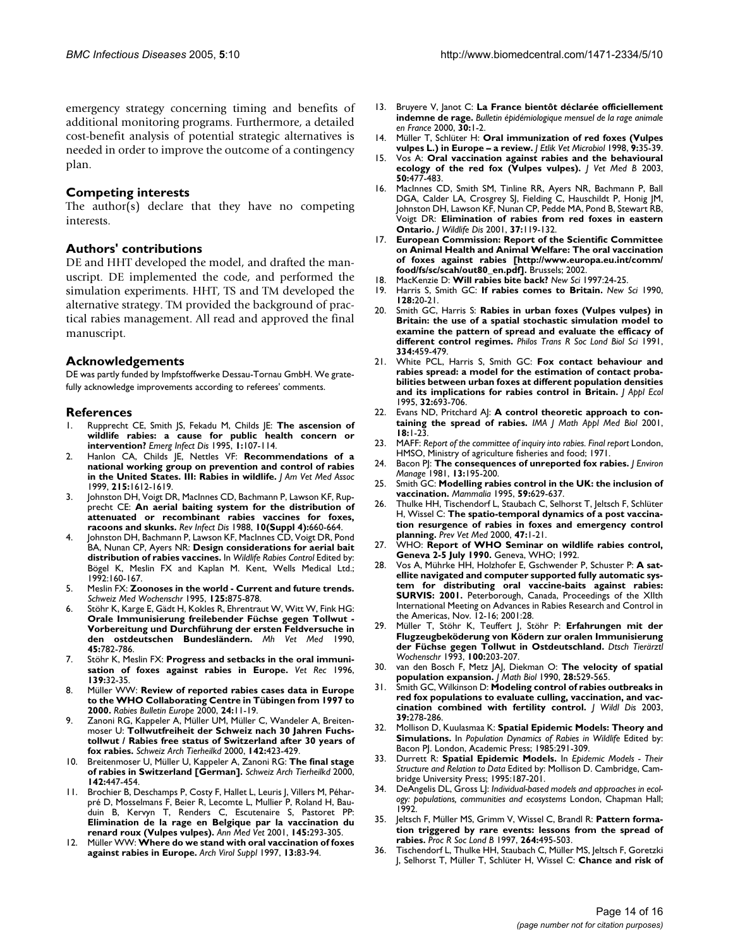emergency strategy concerning timing and benefits of additional monitoring programs. Furthermore, a detailed cost-benefit analysis of potential strategic alternatives is needed in order to improve the outcome of a contingency plan.

#### **Competing interests**

The author(s) declare that they have no competing interests.

#### **Authors' contributions**

DE and HHT developed the model, and drafted the manuscript. DE implemented the code, and performed the simulation experiments. HHT, TS and TM developed the alternative strategy. TM provided the background of practical rabies management. All read and approved the final manuscript.

#### **Acknowledgements**

DE was partly funded by Impfstoffwerke Dessau-Tornau GmbH. We gratefully acknowledge improvements according to referees' comments.

#### **References**

- 1. Rupprecht CE, Smith JS, Fekadu M, Childs JE: **[The ascension of](http://www.ncbi.nlm.nih.gov/entrez/query.fcgi?cmd=Retrieve&db=PubMed&dopt=Abstract&list_uids=8903179) [wildlife rabies: a cause for public health concern or](http://www.ncbi.nlm.nih.gov/entrez/query.fcgi?cmd=Retrieve&db=PubMed&dopt=Abstract&list_uids=8903179) [intervention?](http://www.ncbi.nlm.nih.gov/entrez/query.fcgi?cmd=Retrieve&db=PubMed&dopt=Abstract&list_uids=8903179)** *Emerg Infect Dis* 1995, **1:**107-114.
- 2. Hanlon CA, Childs JE, Nettles VF: **[Recommendations of a](http://www.ncbi.nlm.nih.gov/entrez/query.fcgi?cmd=Retrieve&db=PubMed&dopt=Abstract&list_uids=14575027) [national working group on prevention and control of rabies](http://www.ncbi.nlm.nih.gov/entrez/query.fcgi?cmd=Retrieve&db=PubMed&dopt=Abstract&list_uids=14575027) [in the United States. III: Rabies in wildlife.](http://www.ncbi.nlm.nih.gov/entrez/query.fcgi?cmd=Retrieve&db=PubMed&dopt=Abstract&list_uids=14575027)** *J Am Vet Med Assoc* 1999, **215:**1612-1619.
- 3. Johnston DH, Voigt DR, MacInnes CD, Bachmann P, Lawson KF, Rupprecht CE: **An aerial baiting system for the distribution of attenuated or recombinant rabies vaccines for foxes, racoons and skunks.** *Rev Infect Dis* 1988, **10(Suppl 4):**660-664.
- Johnston DH, Bachmann P, Lawson KF, MacInnes CD, Voigt DR, Pond BA, Nunan CP, Ayers NR: **Design considerations for aerial bait distribution of rabies vaccines.** In *Wildlife Rabies Control* Edited by: Bögel K, Meslin FX and Kaplan M. Kent, Wells Medical Ltd.; 1992:160-167.
- 5. Meslin FX: **[Zoonoses in the world Current and future trends.](http://www.ncbi.nlm.nih.gov/entrez/query.fcgi?cmd=Retrieve&db=PubMed&dopt=Abstract&list_uids=7770747)** *Schweiz Med Wochenschr* 1995, **125:**875-878.
- 6. Stöhr K, Karge E, Gädt H, Kokles R, Ehrentraut W, Witt W, Fink HG: **Orale Immunisierung freilebender Füchse gegen Tollwut - Vorbereitung und Durchführung der ersten Feldversuche in den ostdeutschen Bundesländern.** *Mh Vet Med* 1990, **45:**782-786.
- 7. Stöhr K, Meslin FX: **[Progress and setbacks in the oral immuni](http://www.ncbi.nlm.nih.gov/entrez/query.fcgi?cmd=Retrieve&db=PubMed&dopt=Abstract&list_uids=8839488)[sation of foxes against rabies in Europe.](http://www.ncbi.nlm.nih.gov/entrez/query.fcgi?cmd=Retrieve&db=PubMed&dopt=Abstract&list_uids=8839488)** *Vet Rec* 1996, **139:**32-35.
- 8. Müller WW: **Review of reported rabies cases data in Europe to the WHO Collaborating Centre in Tübingen from 1997 to 2000.** *Rabies Bulletin Europe* 2000, **24:**11-19.
- Zanoni RG, Kappeler A, Müller UM, Müller C, Wandeler A, Breitenmoser U: **[Tollwutfreiheit der Schweiz nach 30 Jahren Fuchs](http://www.ncbi.nlm.nih.gov/entrez/query.fcgi?cmd=Retrieve&db=PubMed&dopt=Abstract&list_uids=11004890)[tollwut / Rabies free status of Switzerland after 30 years of](http://www.ncbi.nlm.nih.gov/entrez/query.fcgi?cmd=Retrieve&db=PubMed&dopt=Abstract&list_uids=11004890) [fox rabies.](http://www.ncbi.nlm.nih.gov/entrez/query.fcgi?cmd=Retrieve&db=PubMed&dopt=Abstract&list_uids=11004890)** *Schweiz Arch Tierheilkd* 2000, **142:**423-429.
- 10. Breitenmoser U, Müller U, Kappeler A, Zanoni RG: **[The final stage](http://www.ncbi.nlm.nih.gov/entrez/query.fcgi?cmd=Retrieve&db=PubMed&dopt=Abstract&list_uids=11004893) [of rabies in Switzerland \[German\].](http://www.ncbi.nlm.nih.gov/entrez/query.fcgi?cmd=Retrieve&db=PubMed&dopt=Abstract&list_uids=11004893)** *Schweiz Arch Tierheilkd* 2000, **142:**447-454.
- 11. Brochier B, Deschamps P, Costy F, Hallet L, Leuris J, Villers M, Péharpré D, Mosselmans F, Beier R, Lecomte L, Mullier P, Roland H, Bauduin B, Kervyn T, Renders C, Escutenaire S, Pastoret PP: **Elimination de la rage en Belgique par la vaccination du renard roux (Vulpes vulpes).** *Ann Med Vet* 2001, **145:**293-305.
- 12. Müller WW: **[Where do we stand with oral vaccination of foxes](http://www.ncbi.nlm.nih.gov/entrez/query.fcgi?cmd=Retrieve&db=PubMed&dopt=Abstract&list_uids=9413528) [against rabies in Europe.](http://www.ncbi.nlm.nih.gov/entrez/query.fcgi?cmd=Retrieve&db=PubMed&dopt=Abstract&list_uids=9413528)** *Arch Virol Suppl* 1997, **13:**83-94.
- 13. Bruyere V, Janot C: **La France bientôt déclarée officiellement indemne de rage.** *Bulletin épidémiologique mensuel de la rage animale en France* 2000, **30:**1-2.
- 14. Müller T, Schlüter H: **Oral immunization of red foxes (Vulpes vulpes L.) in Europe – a review.** *J Etlik Vet Microbiol* 1998, **9:**35-39.
- 15. Vos A: **Oral vaccination against rabies and the behavioural ecology of the red fox (Vulpes vulpes).** *J Vet Med B* 2003, **50:**477-483.
- 16. MacInnes CD, Smith SM, Tinline RR, Ayers NR, Bachmann P, Ball DGA, Calder LA, Crosgrey SJ, Fielding C, Hauschildt P, Honig JM, Johnston DH, Lawson KF, Nunan CP, Pedde MA, Pond B, Stewart RB, Voigt DR: **Elimination of rabies from red foxes in eastern Ontario.** *J Wildlife Dis* 2001, **37:**119-132.
- 17. **European Commission: Report of the Scientific Committee on Animal Health and Animal Welfare: The oral vaccination of foxes against rabies [http://www.europa.eu.int/comm/ food/fs/sc/scah/out80\_en.pdf].** Brussels; 2002.
- 18. MacKenzie D: **Will rabies bite back?** *New Sci* 1997:24-25.
- 19. Harris S, Smith GC: **If rabies comes to Britain.** *New Sci* 1990, **128:**20-21.
- 20. Smith GC, Harris S: **Rabies in urban foxes (Vulpes vulpes) in Britain: the use of a spatial stochastic simulation model to examine the pattern of spread and evaluate the efficacy of different control regimes.** *Philos Trans R Soc Lond Biol Sci* 1991, **334:**459-479.
- 21. White PCL, Harris S, Smith GC: **Fox contact behaviour and rabies spread: a model for the estimation of contact probabilities between urban foxes at different population densities and its implications for rabies control in Britain.** *J Appl Ecol* 1995, **32:**693-706.
- 22. Evans ND, Pritchard AJ: **[A control theoretic approach to con](http://www.ncbi.nlm.nih.gov/entrez/query.fcgi?cmd=Retrieve&db=PubMed&dopt=Abstract&list_uids=11339335)[taining the spread of rabies.](http://www.ncbi.nlm.nih.gov/entrez/query.fcgi?cmd=Retrieve&db=PubMed&dopt=Abstract&list_uids=11339335)** *IMA J Math Appl Med Biol* 2001, **18:**1-23.
- 23. MAFF: *Report of the committee of inquiry into rabies. Final report* London, HMSO, Ministry of agriculture fisheries and food; 1971.
- 24. Bacon PJ: **The consequences of unreported fox rabies.** *J Environ Manage* 1981, **13:**195-200.
- 25. Smith GC: **Modelling rabies control in the UK: the inclusion of vaccination.** *Mammalia* 1995, **59:**629-637.
- 26. Thulke HH, Tischendorf L, Staubach C, Selhorst T, Jeltsch F, Schlüter H, Wissel C: **The spatio-temporal dynamics of a post vaccination resurgence of rabies in foxes and emergency control planning.** *Prev Vet Med* 2000, **47:**1-21.
- 27. WHO: **Report of WHO Seminar on wildlife rabies control, Geneva 2-5 July 1990.** Geneva, WHO; 1992.
- 28. Vos A, Mührke HH, Holzhofer E, Gschwender P, Schuster P: **[A sat](http://www.ncbi.nlm.nih.gov/entrez/query.fcgi?cmd=Retrieve&db=PubMed&dopt=Abstract&list_uids=11344588)ellite navigated and computer supported fully automatic sys[tem for distributing oral vaccine-baits against rabies:](http://www.ncbi.nlm.nih.gov/entrez/query.fcgi?cmd=Retrieve&db=PubMed&dopt=Abstract&list_uids=11344588) [SURVIS: 2001.](http://www.ncbi.nlm.nih.gov/entrez/query.fcgi?cmd=Retrieve&db=PubMed&dopt=Abstract&list_uids=11344588)** Peterborough, Canada, Proceedings of the XIIth International Meeting on Advances in Rabies Research and Control in the Americas, Nov. 12-16; 2001:28.
- 29. Müller T, Stöhr K, Teuffert J, Stöhr P: **Erfahrungen mit der Flugzeugbeköderung von Ködern zur oralen Immunisierung der Füchse gegen Tollwut in Ostdeutschland.** *Dtsch Tierärztl Wochenschr* 1993, **100:**203-207.
- 30. van den Bosch F, Metz JAJ, Diekman O: **The velocity of spatial population expansion.** *J Math Biol* 1990, **28:**529-565.
- 31. Smith GC, Wilkinson D: **[Modeling control of rabies outbreaks in](http://www.ncbi.nlm.nih.gov/entrez/query.fcgi?cmd=Retrieve&db=PubMed&dopt=Abstract&list_uids=12910754) [red fox populations to evaluate culling, vaccination, and vac](http://www.ncbi.nlm.nih.gov/entrez/query.fcgi?cmd=Retrieve&db=PubMed&dopt=Abstract&list_uids=12910754)[cination combined with fertility control.](http://www.ncbi.nlm.nih.gov/entrez/query.fcgi?cmd=Retrieve&db=PubMed&dopt=Abstract&list_uids=12910754)** *J Wildl Dis* 2003, **39:**278-286.
- 32. Mollison D, Kuulasmaa K: **Spatial Epidemic Models: Theory and Simulations.** In *Population Dynamics of Rabies in Wildlife* Edited by: Bacon PJ. London, Academic Press; 1985:291-309.
- 33. Durrett R: **Spatial Epidemic Models.** In *Epidemic Models Their Structure and Relation to Data* Edited by: Mollison D. Cambridge, Cam-
- bridge University Press; 1995:187-201.<br>DeAngelis DL, Gross LJ: Individual-based models and approaches in ecol-34. DeAngelis DL, Gross LJ: *Individual-based models and approaches in ecology: populations, communities and ecosystems* London, Chapman Hall; 1992.
- 35. Jeltsch F, Müller MS, Grimm V, Wissel C, Brandl R: **[Pattern forma](http://www.ncbi.nlm.nih.gov/entrez/query.fcgi?cmd=Retrieve&db=PubMed&dopt=Abstract&list_uids=9149424)[tion triggered by rare events: lessons from the spread of](http://www.ncbi.nlm.nih.gov/entrez/query.fcgi?cmd=Retrieve&db=PubMed&dopt=Abstract&list_uids=9149424) [rabies.](http://www.ncbi.nlm.nih.gov/entrez/query.fcgi?cmd=Retrieve&db=PubMed&dopt=Abstract&list_uids=9149424)** *Proc R Soc Lond B* 1997, **264:**495-503.
- 36. Tischendorf L, Thulke HH, Staubach C, Müller MS, Jeltsch F, Goretzki J, Selhorst T, Müller T, Schlüter H, Wissel C: **[Chance and risk of](http://www.ncbi.nlm.nih.gov/entrez/query.fcgi?cmd=Retrieve&db=PubMed&dopt=Abstract&list_uids=9633109)**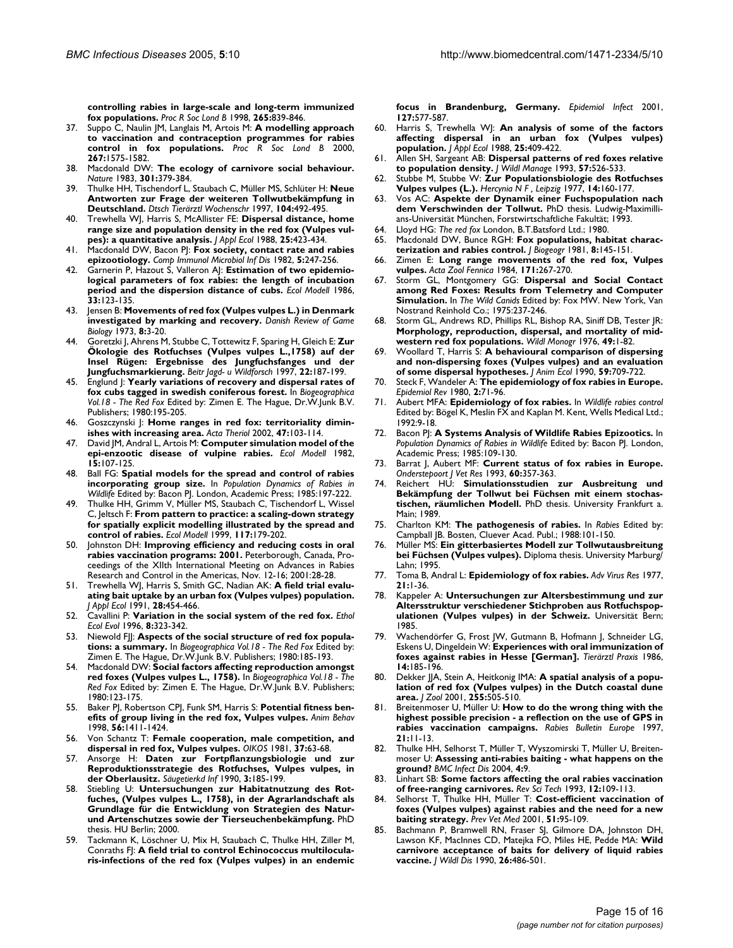**[controlling rabies in large-scale and long-term immunized](http://www.ncbi.nlm.nih.gov/entrez/query.fcgi?cmd=Retrieve&db=PubMed&dopt=Abstract&list_uids=9633109) [fox populations.](http://www.ncbi.nlm.nih.gov/entrez/query.fcgi?cmd=Retrieve&db=PubMed&dopt=Abstract&list_uids=9633109)** *Proc R Soc Lond B* 1998, **265:**839-846.

- 37. Suppo C, Naulin JM, Langlais M, Artois M: **[A modelling approach](http://www.ncbi.nlm.nih.gov/entrez/query.fcgi?cmd=Retrieve&db=PubMed&dopt=Abstract&list_uids=11007334) [to vaccination and contraception programmes for rabies](http://www.ncbi.nlm.nih.gov/entrez/query.fcgi?cmd=Retrieve&db=PubMed&dopt=Abstract&list_uids=11007334) [control in fox populations.](http://www.ncbi.nlm.nih.gov/entrez/query.fcgi?cmd=Retrieve&db=PubMed&dopt=Abstract&list_uids=11007334)** *Proc R Soc Lond B* 2000, **267:**1575-1582.
- 38. Macdonald DW: **The ecology of carnivore social behaviour.** *Nature* 1983, **301:**379-384.
- 39. Thulke HH, Tischendorf L, Staubach C, Müller MS, Schlüter H: **Neue Antworten zur Frage der weiteren Tollwutbekämpfung in Deutschland.** *Dtsch Tierärztl Wochenschr* 1997, **104:**492-495.
- 40. Trewhella WJ, Harris S, McAllister FE: **Dispersal distance, home range size and population density in the red fox (Vulpes vulpes): a quantitative analysis.** *J Appl Ecol* 1988, **25:**423-434.
- 41. Macdonald DW, Bacon PJ: **Fox society, contact rate and rabies epizootiology.** *Comp Immunol Microbiol Inf Dis* 1982, **5:**247-256.
- 42. Garnerin P, Hazout S, Valleron AJ: **Estimation of two epidemiological parameters of fox rabies: the length of incubation period and the dispersion distance of cubs.** *Ecol Modell* 1986, **33:**123-135.
- 43. Jensen B: **Movements of red fox (Vulpes vulpes L.) in Denmark investigated by marking and recovery.** *Danish Review of Game Biology* 1973, **8:**3-20.
- 44. Goretzki J, Ahrens M, Stubbe C, Tottewitz F, Sparing H, Gleich E: **Zur Ökologie des Rotfuchses (Vulpes vulpes L.,1758) auf der Insel Rügen: Ergebnisse des Jungfuchsfanges und der Jungfuchsmarkierung.** *Beitr Jagd- u Wildforsch* 1997, **22:**187-199.
- 45. Englund J: **Yearly variations of recovery and dispersal rates of fox cubs tagged in swedish coniferous forest.** In *Biogeographica Vol.18 - The Red Fox* Edited by: Zimen E. The Hague, Dr.W.Junk B.V. Publishers; 1980:195-205.
- 46. Goszczynski **J**: Home ranges in red fox: territoriality dimin**ishes with increasing area.** *Acta Theriol* 2002, **47:**103-114.
- 47. David JM, Andral L, Artois M: **Computer simulation model of the epi-enzootic disease of vulpine rabies.** *Ecol Modell* 1982, **15:**107-125.
- 48. Ball FG: **Spatial models for the spread and control of rabies incorporating group size.** In *Population Dynamics of Rabies in Wildlife* Edited by: Bacon PJ. London, Academic Press; 1985:197-222.
- 49. Thulke HH, Grimm V, Müller MS, Staubach C, Tischendorf L, Wissel C, Jeltsch F: **From pattern to practice: a scaling-down strategy for spatially explicit modelling illustrated by the spread and control of rabies.** *Ecol Modell* 1999, **117:**179-202.
- 50. Johnston DH: **Improving efficiency and reducing costs in oral rabies vaccination programs: 2001.** Peterborough, Canada, Proceedings of the XIIth International Meeting on Advances in Rabies Research and Control in the Americas, Nov. 12-16; 2001:28-28.
- 51. Trewhella WJ, Harris S, Smith GC, Nadian AK: **A field trial evaluating bait uptake by an urban fox (Vulpes vulpes) population.** *J Appl Ecol* 1991, **28:**454-466.
- 52. Cavallini P: **Variation in the social system of the red fox.** *Ethol Ecol Evol* 1996, **8:**323-342.
- 53. Niewold FJ: Aspects of the social structure of red fox popula**tions: a summary.** In *Biogeographica Vol.18 - The Red Fox* Edited by: Zimen E. The Hague, Dr.W.Junk B.V. Publishers; 1980:185-193.
- 54. Macdonald DW: **Social factors affecting reproduction amongst red foxes (Vulpes vulpes L., 1758).** In *Biogeographica Vol.18 - The Red Fox* Edited by: Zimen E. The Hague, Dr.W.Junk B.V. Publishers; 1980:123-175.
- 55. Baker PJ, Robertson CPJ, Funk SM, Harris S: **[Potential fitness ben](http://www.ncbi.nlm.nih.gov/entrez/query.fcgi?cmd=Retrieve&db=PubMed&dopt=Abstract&list_uids=9933538)[efits of group living in the red fox, Vulpes vulpes.](http://www.ncbi.nlm.nih.gov/entrez/query.fcgi?cmd=Retrieve&db=PubMed&dopt=Abstract&list_uids=9933538)** *Anim Behav* 1998, **56:**1411-1424.
- 56. Von Schantz T: **Female cooperation, male competition, and dispersal in red fox, Vulpes vulpes.** *OIKOS* 1981, **37:**63-68.
- 57. Ansorge H: **Daten zur Fortpflanzungsbiologie und zur Reproduktionsstrategie des Rotfuchses, Vulpes vulpes, in der Oberlausitz.** *Säugetierkd Inf* 1990, **3:**185-199.
- Stiebling U: Untersuchungen zur Habitatnutzung des Rot**fuches, (Vulpes vulpes L., 1758), in der Agrarlandschaft als Grundlage für die Entwicklung von Strategien des Naturund Artenschutzes sowie der Tierseuchenbekämpfung.** PhD thesis. HU Berlin; 2000.
- 59. Tackmann K, Löschner U, Mix H, Staubach C, Thulke HH, Ziller M, Conraths FJ: **[A field trial to control Echinococcus multilocula](http://www.ncbi.nlm.nih.gov/entrez/query.fcgi?cmd=Retrieve&db=PubMed&dopt=Abstract&list_uids=11811893)[ris-infections of the red fox \(Vulpes vulpes\) in an endemic](http://www.ncbi.nlm.nih.gov/entrez/query.fcgi?cmd=Retrieve&db=PubMed&dopt=Abstract&list_uids=11811893)**

**[focus in Brandenburg, Germany.](http://www.ncbi.nlm.nih.gov/entrez/query.fcgi?cmd=Retrieve&db=PubMed&dopt=Abstract&list_uids=11811893)** *Epidemiol Infect* 2001, **127:**577-587.

- 60. Harris S, Trewhella WJ: **An analysis of some of the factors affecting dispersal in an urban fox (Vulpes vulpes) population.** *J Appl Ecol* 1988, **25:**409-422.
- 61. Allen SH, Sargeant AB: **Dispersal patterns of red foxes relative to population density.** *J Wildl Manage* 1993, **57:**526-533.
- 62. Stubbe M, Stubbe W: **Zur Populationsbiologie des Rotfuchses Vulpes vulpes (L.).** *Hercynia N F , Leipzig* 1977, **14:**160-177.
- 63. Vos AC: **Aspekte der Dynamik einer Fuchspopulation nach dem Verschwinden der Tollwut.** PhD thesis. Ludwig-Maximillians-Universität München, Forstwirtschaftliche Fakultät; 1993.
- 64. Lloyd HG: *The red fox* London, B.T.Batsford Ltd.; 1980.
- 65. Macdonald DW, Bunce RGH: **Fox populations, habitat characterization and rabies control.** *J Biogeogr* 1981, **8:**145-151.
- 66. Zimen E: **Long range movements of the red fox, Vulpes vulpes.** *Acta Zool Fennica* 1984, **171:**267-270.
- 67. Storm GL, Montgomery GG: **Dispersal and Social Contact among Red Foxes: Results from Telemetry and Computer Simulation.** In *The Wild Canids* Edited by: Fox MW. New York, Van Nostrand Reinhold Co.; 1975:237-246.
- 68. Storm GL, Andrews RD, Phillips RL, Bishop RA, Siniff DB, Tester JR: **Morphology, reproduction, dispersal, and mortality of midwestern red fox populations.** *Wildl Monogr* 1976, **49:**1-82.
- 69. Woollard T, Harris S: **A behavioural comparison of dispersing and non-dispersing foxes (Vulpes vulpes) and an evaluation of some dispersal hypotheses.** *J Anim Ecol* 1990, **59:**709-722.
- 70. Steck F, Wandeler A: **[The epidemiology of fox rabies in Europe.](http://www.ncbi.nlm.nih.gov/entrez/query.fcgi?cmd=Retrieve&db=PubMed&dopt=Abstract&list_uids=7000539)** *Epidemiol Rev* 1980, **2:**71-96.
- 71. Aubert MFA: **Epidemiology of fox rabies.** In *Wildlife rabies control* Edited by: Bögel K, Meslin FX and Kaplan M. Kent, Wells Medical Ltd.; 1992:9-18.
- 72. Bacon PJ: **A Systems Analysis of Wildlife Rabies Epizootics.** In *Population Dynamics of Rabies in Wildlife* Edited by: Bacon PJ. London, Academic Press; 1985:109-130.
- 73. Barrat J, Aubert MF: **[Current status of fox rabies in Europe.](http://www.ncbi.nlm.nih.gov/entrez/query.fcgi?cmd=Retrieve&db=PubMed&dopt=Abstract&list_uids=7777320)** *Onderstepoort J Vet Res* 1993, **60:**357-363.
- 74. Reichert HU: **Simulationsstudien zur Ausbreitung und Bekämpfung der Tollwut bei Füchsen mit einem stochastischen, räumlichen Modell.** PhD thesis. University Frankfurt a. Main; 1989.
- 75. Charlton KM: **The pathogenesis of rabies.** In *Rabies* Edited by: Campball JB. Bosten, Cluever Acad. Publ.; 1988:101-150.
- 76. Müller MS: **Ein gitterbasiertes Modell zur Tollwutausbreitung bei Füchsen (Vulpes vulpes).** Diploma thesis. University Marburg/ Lahn; 1995.
- 77. Toma B, Andral L: **[Epidemiology of fox rabies.](http://www.ncbi.nlm.nih.gov/entrez/query.fcgi?cmd=Retrieve&db=PubMed&dopt=Abstract&list_uids=324250)** *Adv Virus Res* 1977, **21:**1-36.
- 78. Kappeler A: **Untersuchungen zur Altersbestimmung und zur Altersstruktur verschiedener Stichproben aus Rotfuchspopulationen (Vulpes vulpes) in der Schweiz.** Universität Bern; 1985.
- 79. Wachendörfer G, Frost JW, Gutmann B, Hofmann J, Schneider LG, Eskens U, Dingeldein W: **Experiences with oral immunization of foxes against rabies in Hesse [German].** *Tierärztl Praxis* 1986, **14:**185-196.
- 80. Dekker JJA, Stein A, Heitkonig IMA: **A spatial analysis of a population of red fox (Vulpes vulpes) in the Dutch coastal dune area.** *J Zool* 2001, **255:**505-510.
- 81. Breitenmoser U, Müller U: **How to do the wrong thing with the highest possible precision - a reflection on the use of GPS in rabies vaccination campaigns.** *Rabies Bulletin Europe* 1997, **21:**11-13.
- 82. Thulke HH, Selhorst T, Müller T, Wyszomirski T, Müller U, Breitenmoser U: **[Assessing anti-rabies baiting - what happens on the](http://www.ncbi.nlm.nih.gov/entrez/query.fcgi?cmd=Retrieve&db=PubMed&dopt=Abstract&list_uids=15113448) [ground?](http://www.ncbi.nlm.nih.gov/entrez/query.fcgi?cmd=Retrieve&db=PubMed&dopt=Abstract&list_uids=15113448)** *BMC Infect Dis* 2004, **4:**9.
- 83. Linhart SB: **[Some factors affecting the oral rabies vaccination](http://www.ncbi.nlm.nih.gov/entrez/query.fcgi?cmd=Retrieve&db=PubMed&dopt=Abstract&list_uids=8518438) [of free-ranging carnivores.](http://www.ncbi.nlm.nih.gov/entrez/query.fcgi?cmd=Retrieve&db=PubMed&dopt=Abstract&list_uids=8518438)** *Rev Sci Tech* 1993, **12:**109-113.
- 84. Selhorst T, Thulke HH, Müller T: **[Cost-efficient vaccination of](http://www.ncbi.nlm.nih.gov/entrez/query.fcgi?cmd=Retrieve&db=PubMed&dopt=Abstract&list_uids=11530197) [foxes \(Vulpes vulpes\) against rabies and the need for a new](http://www.ncbi.nlm.nih.gov/entrez/query.fcgi?cmd=Retrieve&db=PubMed&dopt=Abstract&list_uids=11530197) [baiting strategy.](http://www.ncbi.nlm.nih.gov/entrez/query.fcgi?cmd=Retrieve&db=PubMed&dopt=Abstract&list_uids=11530197)** *Prev Vet Med* 2001, **51:**95-109.
- 85. Bachmann P, Bramwell RN, Fraser SJ, Gilmore DA, Johnston DH, Lawson KF, MacInnes CD, Matejka FO, Miles HE, Pedde MA: **[Wild](http://www.ncbi.nlm.nih.gov/entrez/query.fcgi?cmd=Retrieve&db=PubMed&dopt=Abstract&list_uids=2250325) [carnivore acceptance of baits for delivery of liquid rabies](http://www.ncbi.nlm.nih.gov/entrez/query.fcgi?cmd=Retrieve&db=PubMed&dopt=Abstract&list_uids=2250325) [vaccine.](http://www.ncbi.nlm.nih.gov/entrez/query.fcgi?cmd=Retrieve&db=PubMed&dopt=Abstract&list_uids=2250325)** *J Wildl Dis* 1990, **26:**486-501.